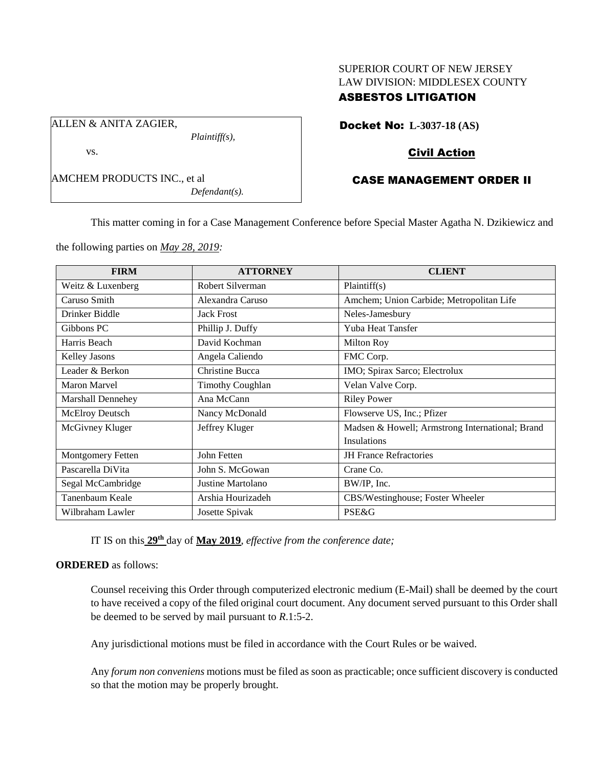# SUPERIOR COURT OF NEW JERSEY LAW DIVISION: MIDDLESEX COUNTY

# ASBESTOS LITIGATION

Docket No: **L-3037-18 (AS)**

### Civil Action

### CASE MANAGEMENT ORDER II

AMCHEM PRODUCTS INC., et al *Defendant(s).*

*Plaintiff(s),*

ALLEN & ANITA ZAGIER,

vs.

This matter coming in for a Case Management Conference before Special Master Agatha N. Dzikiewicz and

the following parties on *May 28, 2019:*

| <b>FIRM</b>              | <b>ATTORNEY</b>         | <b>CLIENT</b>                                   |
|--------------------------|-------------------------|-------------------------------------------------|
| Weitz & Luxenberg        | Robert Silverman        | Plaintiff(s)                                    |
| Caruso Smith             | Alexandra Caruso        | Amchem; Union Carbide; Metropolitan Life        |
| Drinker Biddle           | <b>Jack Frost</b>       | Neles-Jamesbury                                 |
| Gibbons PC               | Phillip J. Duffy        | Yuba Heat Tansfer                               |
| Harris Beach             | David Kochman           | Milton Roy                                      |
| Kelley Jasons            | Angela Caliendo         | FMC Corp.                                       |
| Leader & Berkon          | Christine Bucca         | IMO; Spirax Sarco; Electrolux                   |
| Maron Marvel             | <b>Timothy Coughlan</b> | Velan Valve Corp.                               |
| <b>Marshall Dennehey</b> | Ana McCann              | <b>Riley Power</b>                              |
| McElroy Deutsch          | Nancy McDonald          | Flowserve US, Inc.; Pfizer                      |
| McGivney Kluger          | Jeffrey Kluger          | Madsen & Howell; Armstrong International; Brand |
|                          |                         | <b>Insulations</b>                              |
| Montgomery Fetten        | John Fetten             | <b>JH</b> France Refractories                   |
| Pascarella DiVita        | John S. McGowan         | Crane Co.                                       |
| Segal McCambridge        | Justine Martolano       | BW/IP, Inc.                                     |
| Tanenbaum Keale          | Arshia Hourizadeh       | CBS/Westinghouse; Foster Wheeler                |
| Wilbraham Lawler         | Josette Spivak          | PSE&G                                           |

IT IS on this **29th** day of **May 2019**, *effective from the conference date;*

#### **ORDERED** as follows:

Counsel receiving this Order through computerized electronic medium (E-Mail) shall be deemed by the court to have received a copy of the filed original court document. Any document served pursuant to this Order shall be deemed to be served by mail pursuant to *R*.1:5-2.

Any jurisdictional motions must be filed in accordance with the Court Rules or be waived.

Any *forum non conveniens* motions must be filed as soon as practicable; once sufficient discovery is conducted so that the motion may be properly brought.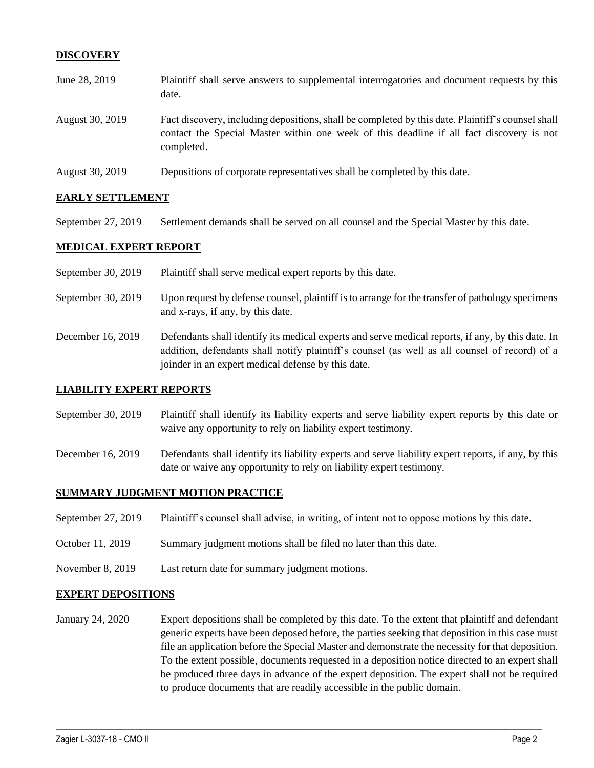#### **DISCOVERY**

| June 28, 2019   | Plaintiff shall serve answers to supplemental interrogatories and document requests by this<br>date.                                                                                                        |
|-----------------|-------------------------------------------------------------------------------------------------------------------------------------------------------------------------------------------------------------|
| August 30, 2019 | Fact discovery, including depositions, shall be completed by this date. Plaintiff's counsel shall<br>contact the Special Master within one week of this deadline if all fact discovery is not<br>completed. |
| August 30, 2019 | Depositions of corporate representatives shall be completed by this date.                                                                                                                                   |

#### **EARLY SETTLEMENT**

September 27, 2019 Settlement demands shall be served on all counsel and the Special Master by this date.

#### **MEDICAL EXPERT REPORT**

- September 30, 2019 Plaintiff shall serve medical expert reports by this date.
- September 30, 2019 Upon request by defense counsel, plaintiff is to arrange for the transfer of pathology specimens and x-rays, if any, by this date.
- December 16, 2019 Defendants shall identify its medical experts and serve medical reports, if any, by this date. In addition, defendants shall notify plaintiff's counsel (as well as all counsel of record) of a joinder in an expert medical defense by this date.

#### **LIABILITY EXPERT REPORTS**

- September 30, 2019 Plaintiff shall identify its liability experts and serve liability expert reports by this date or waive any opportunity to rely on liability expert testimony.
- December 16, 2019 Defendants shall identify its liability experts and serve liability expert reports, if any, by this date or waive any opportunity to rely on liability expert testimony.

#### **SUMMARY JUDGMENT MOTION PRACTICE**

- September 27, 2019 Plaintiff's counsel shall advise, in writing, of intent not to oppose motions by this date.
- October 11, 2019 Summary judgment motions shall be filed no later than this date.
- November 8, 2019 Last return date for summary judgment motions.

#### **EXPERT DEPOSITIONS**

January 24, 2020 Expert depositions shall be completed by this date. To the extent that plaintiff and defendant generic experts have been deposed before, the parties seeking that deposition in this case must file an application before the Special Master and demonstrate the necessity for that deposition. To the extent possible, documents requested in a deposition notice directed to an expert shall be produced three days in advance of the expert deposition. The expert shall not be required to produce documents that are readily accessible in the public domain.

 $\_$  , and the set of the set of the set of the set of the set of the set of the set of the set of the set of the set of the set of the set of the set of the set of the set of the set of the set of the set of the set of th